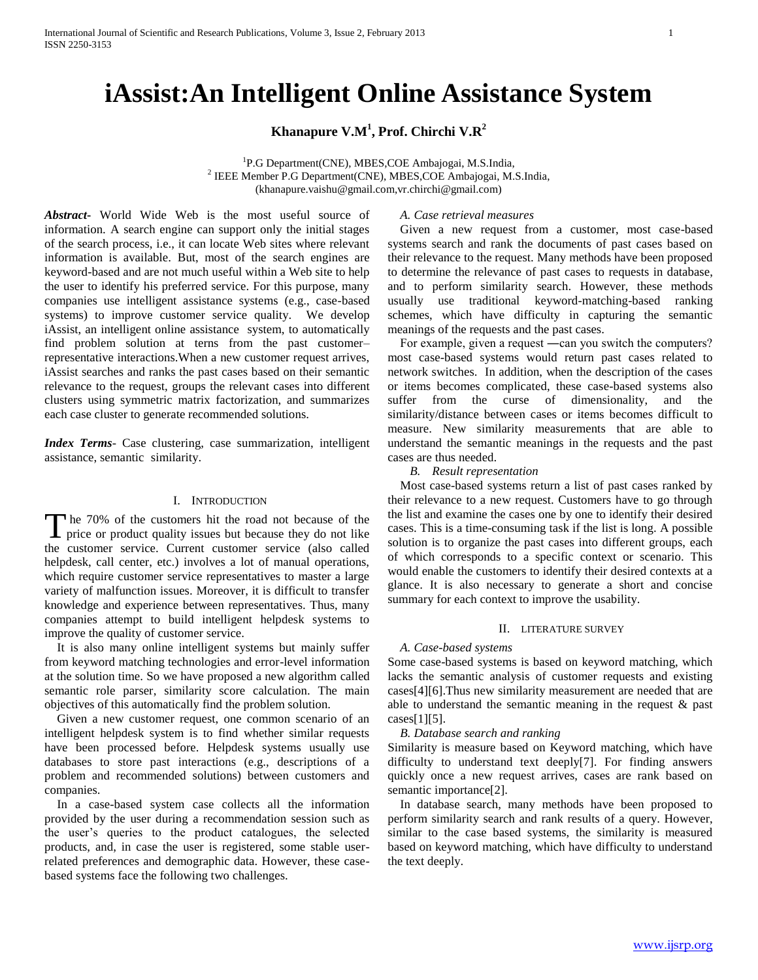# **iAssist:An Intelligent Online Assistance System**

# **Khanapure V.M<sup>1</sup> , Prof. Chirchi V.R<sup>2</sup>**

<sup>1</sup>P.G Department(CNE), MBES,COE Ambajogai, M.S.India, 2 IEEE Member P.G Department(CNE), MBES,COE Ambajogai, M.S.India, (khanapure.vaishu@gmail.com,vr.chirchi@gmail.com)

*Abstract***-** World Wide Web is the most useful source of information. A search engine can support only the initial stages of the search process, i.e., it can locate Web sites where relevant information is available. But, most of the search engines are keyword-based and are not much useful within a Web site to help the user to identify his preferred service. For this purpose, many companies use intelligent assistance systems (e.g., case-based systems) to improve customer service quality. We develop iAssist, an intelligent online assistance system, to automatically find problem solution at terns from the past customer– representative interactions.When a new customer request arrives, iAssist searches and ranks the past cases based on their semantic relevance to the request, groups the relevant cases into different clusters using symmetric matrix factorization, and summarizes each case cluster to generate recommended solutions.

*Index Terms*- Case clustering, case summarization, intelligent assistance, semantic similarity.

## I. INTRODUCTION

The 70% of the customers hit the road not because of the The 70% of the customers hit the road not because of the price or product quality issues but because they do not like the customer service. Current customer service (also called helpdesk, call center, etc.) involves a lot of manual operations, which require customer service representatives to master a large variety of malfunction issues. Moreover, it is difficult to transfer knowledge and experience between representatives. Thus, many companies attempt to build intelligent helpdesk systems to improve the quality of customer service.

 It is also many online intelligent systems but mainly suffer from keyword matching technologies and error-level information at the solution time. So we have proposed a new algorithm called semantic role parser, similarity score calculation. The main objectives of this automatically find the problem solution.

 Given a new customer request, one common scenario of an intelligent helpdesk system is to find whether similar requests have been processed before. Helpdesk systems usually use databases to store past interactions (e.g., descriptions of a problem and recommended solutions) between customers and companies.

 In a case-based system case collects all the information provided by the user during a recommendation session such as the user's queries to the product catalogues, the selected products, and, in case the user is registered, some stable userrelated preferences and demographic data. However, these casebased systems face the following two challenges.

## *A. Case retrieval measures*

 Given a new request from a customer, most case-based systems search and rank the documents of past cases based on their relevance to the request. Many methods have been proposed to determine the relevance of past cases to requests in database, and to perform similarity search. However, these methods usually use traditional keyword-matching-based ranking schemes, which have difficulty in capturing the semantic meanings of the requests and the past cases.

For example, given a request —can you switch the computers? most case-based systems would return past cases related to network switches. In addition, when the description of the cases or items becomes complicated, these case-based systems also suffer from the curse of dimensionality, and the similarity/distance between cases or items becomes difficult to measure. New similarity measurements that are able to understand the semantic meanings in the requests and the past cases are thus needed.

*B. Result representation*

 Most case-based systems return a list of past cases ranked by their relevance to a new request. Customers have to go through the list and examine the cases one by one to identify their desired cases. This is a time-consuming task if the list is long. A possible solution is to organize the past cases into different groups, each of which corresponds to a specific context or scenario. This would enable the customers to identify their desired contexts at a glance. It is also necessary to generate a short and concise summary for each context to improve the usability.

### II. LITERATURE SURVEY

## *A. Case-based systems*

Some case-based systems is based on keyword matching, which lacks the semantic analysis of customer requests and existing cases[4][6].Thus new similarity measurement are needed that are able to understand the semantic meaning in the request & past  $cases[1][5]$ .

 *B. Database search and ranking*

Similarity is measure based on Keyword matching, which have difficulty to understand text deeply[7]. For finding answers quickly once a new request arrives, cases are rank based on semantic importance<sup>[2]</sup>.

 In database search, many methods have been proposed to perform similarity search and rank results of a query. However, similar to the case based systems, the similarity is measured based on keyword matching, which have difficulty to understand the text deeply.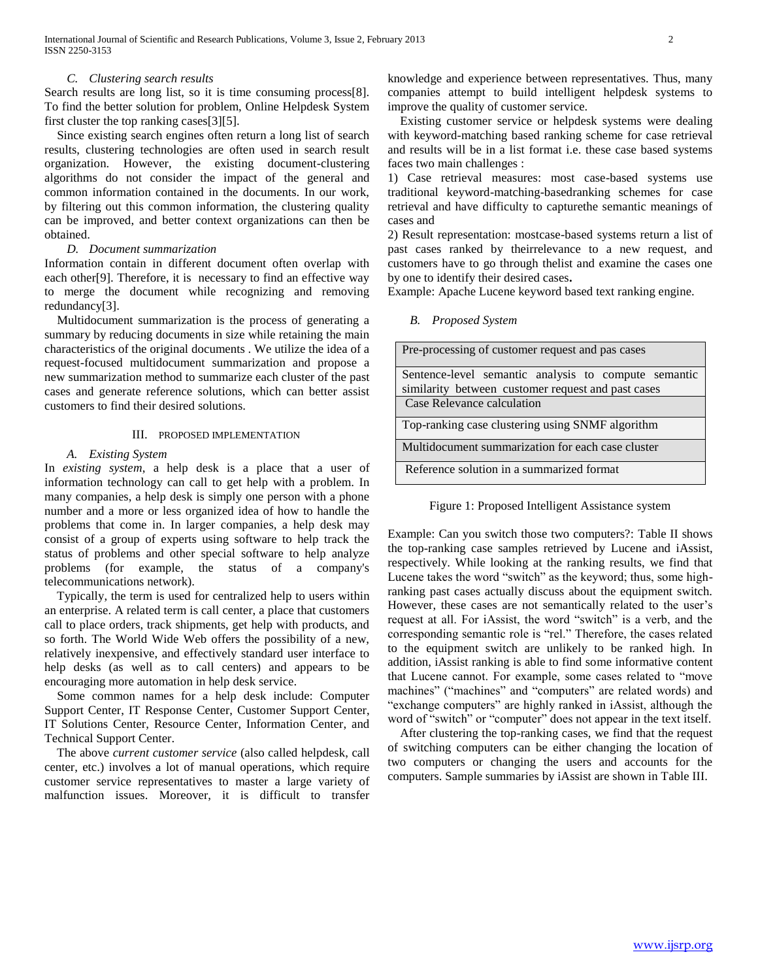## *C. Clustering search results*

Search results are long list, so it is time consuming process[8]. To find the better solution for problem, Online Helpdesk System first cluster the top ranking cases[3][5].

 Since existing search engines often return a long list of search results, clustering technologies are often used in search result organization. However, the existing document-clustering algorithms do not consider the impact of the general and common information contained in the documents. In our work, by filtering out this common information, the clustering quality can be improved, and better context organizations can then be obtained.

## *D. Document summarization*

Information contain in different document often overlap with each other[9]. Therefore, it is necessary to find an effective way to merge the document while recognizing and removing redundancy[3].

 Multidocument summarization is the process of generating a summary by reducing documents in size while retaining the main characteristics of the original documents . We utilize the idea of a request-focused multidocument summarization and propose a new summarization method to summarize each cluster of the past cases and generate reference solutions, which can better assist customers to find their desired solutions.

## III. PROPOSED IMPLEMENTATION

## *A. Existing System*

In *existing system*, a help desk is a place that a user of information technology can call to get help with a problem. In many companies, a help desk is simply one person with a phone number and a more or less organized idea of how to handle the problems that come in. In larger companies, a help desk may consist of a group of experts using software to help track the status of problems and other special software to help analyze problems (for example, the status of a company's telecommunications network).

 Typically, the term is used for centralized help to users within an enterprise. A related term is call center, a place that customers call to place orders, track shipments, get help with products, and so forth. The World Wide Web offers the possibility of a new, relatively inexpensive, and effectively standard user interface to help desks (as well as to call centers) and appears to be encouraging more automation in help desk service.

 Some common names for a help desk include: Computer Support Center, IT Response Center, Customer Support Center, IT Solutions Center, Resource Center, Information Center, and Technical Support Center.

 The above *current customer service* (also called helpdesk, call center, etc.) involves a lot of manual operations, which require customer service representatives to master a large variety of malfunction issues. Moreover, it is difficult to transfer

knowledge and experience between representatives. Thus, many companies attempt to build intelligent helpdesk systems to improve the quality of customer service.

 Existing customer service or helpdesk systems were dealing with keyword-matching based ranking scheme for case retrieval and results will be in a list format i.e. these case based systems faces two main challenges :

1) Case retrieval measures: most case-based systems use traditional keyword-matching-basedranking schemes for case retrieval and have difficulty to capturethe semantic meanings of cases and

2) Result representation: mostcase-based systems return a list of past cases ranked by theirrelevance to a new request, and customers have to go through thelist and examine the cases one by one to identify their desired cases**.**

Example: Apache Lucene keyword based text ranking engine.

## *B. Proposed System*

| Pre-processing of customer request and pas cases                                                           |
|------------------------------------------------------------------------------------------------------------|
| Sentence-level semantic analysis to compute semantic<br>similarity between customer request and past cases |
| Case Relevance calculation                                                                                 |
| Top-ranking case clustering using SNMF algorithm                                                           |
| Multidocument summarization for each case cluster                                                          |
| Reference solution in a summarized format                                                                  |

Figure 1: Proposed Intelligent Assistance system

Example: Can you switch those two computers?: Table II shows the top-ranking case samples retrieved by Lucene and iAssist, respectively. While looking at the ranking results, we find that Lucene takes the word "switch" as the keyword; thus, some highranking past cases actually discuss about the equipment switch. However, these cases are not semantically related to the user's request at all. For iAssist, the word "switch" is a verb, and the corresponding semantic role is "rel." Therefore, the cases related to the equipment switch are unlikely to be ranked high. In addition, iAssist ranking is able to find some informative content that Lucene cannot. For example, some cases related to "move machines" ("machines" and "computers" are related words) and "exchange computers" are highly ranked in iAssist, although the word of "switch" or "computer" does not appear in the text itself.

 After clustering the top-ranking cases, we find that the request of switching computers can be either changing the location of two computers or changing the users and accounts for the computers. Sample summaries by iAssist are shown in Table III.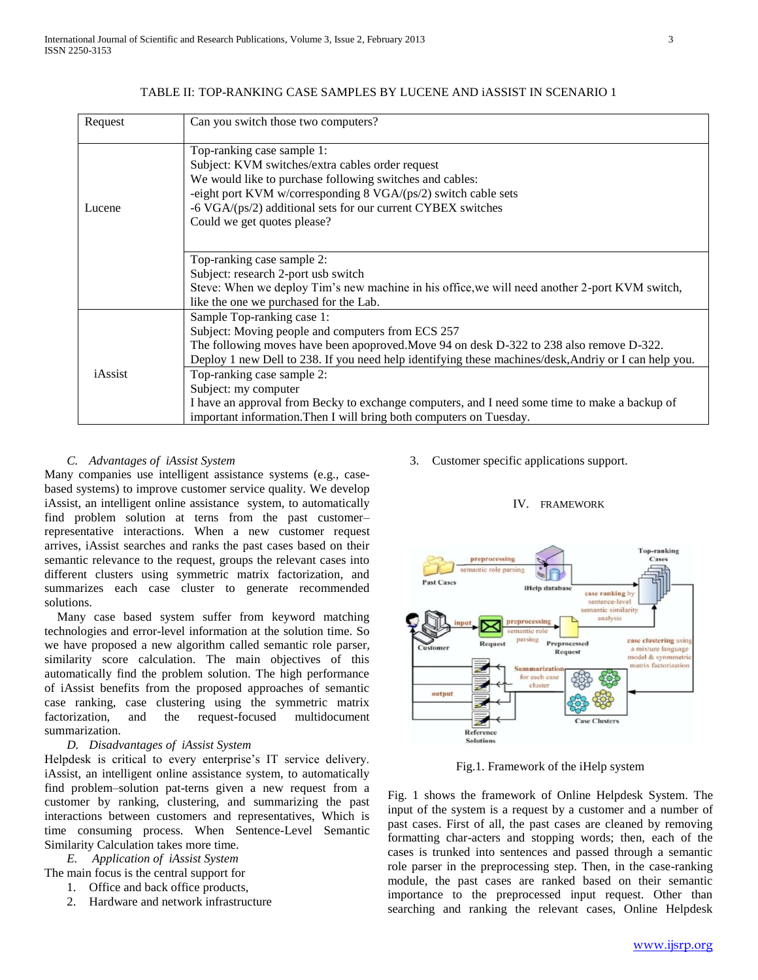| Can you switch those two computers?                                                                   |
|-------------------------------------------------------------------------------------------------------|
| Top-ranking case sample 1:                                                                            |
| Subject: KVM switches/extra cables order request                                                      |
| We would like to purchase following switches and cables:                                              |
| -eight port KVM w/corresponding 8 VGA/(ps/2) switch cable sets                                        |
| -6 VGA/(ps/2) additional sets for our current CYBEX switches                                          |
| Could we get quotes please?                                                                           |
|                                                                                                       |
| Top-ranking case sample 2:                                                                            |
| Subject: research 2-port usb switch                                                                   |
| Steve: When we deploy Tim's new machine in his office, we will need another 2-port KVM switch,        |
| like the one we purchased for the Lab.                                                                |
| Sample Top-ranking case 1:                                                                            |
| Subject: Moving people and computers from ECS 257                                                     |
| The following moves have been apoproved. Move 94 on desk D-322 to 238 also remove D-322.              |
| Deploy 1 new Dell to 238. If you need help identifying these machines/desk, Andriy or I can help you. |
| Top-ranking case sample 2:                                                                            |
| Subject: my computer                                                                                  |
| I have an approval from Becky to exchange computers, and I need some time to make a backup of         |
| important information. Then I will bring both computers on Tuesday.                                   |
|                                                                                                       |

## TABLE II: TOP-RANKING CASE SAMPLES BY LUCENE AND iASSIST IN SCENARIO 1

## *C. Advantages of iAssist System*

Many companies use intelligent assistance systems (e.g., casebased systems) to improve customer service quality. We develop iAssist, an intelligent online assistance system, to automatically find problem solution at terns from the past customer– representative interactions. When a new customer request arrives, iAssist searches and ranks the past cases based on their semantic relevance to the request, groups the relevant cases into different clusters using symmetric matrix factorization, and summarizes each case cluster to generate recommended solutions.

 Many case based system suffer from keyword matching technologies and error-level information at the solution time. So we have proposed a new algorithm called semantic role parser, similarity score calculation. The main objectives of this automatically find the problem solution. The high performance of iAssist benefits from the proposed approaches of semantic case ranking, case clustering using the symmetric matrix factorization, and the request-focused multidocument summarization.

## *D. Disadvantages of iAssist System*

Helpdesk is critical to every enterprise's IT service delivery. iAssist, an intelligent online assistance system, to automatically find problem–solution pat-terns given a new request from a customer by ranking, clustering, and summarizing the past interactions between customers and representatives, Which is time consuming process. When Sentence-Level Semantic Similarity Calculation takes more time.

*E. Application of iAssist System*

- The main focus is the central support for
	- 1. Office and back office products,
	- 2. Hardware and network infrastructure

3. Customer specific applications support.





Fig.1. Framework of the iHelp system

Fig. 1 shows the framework of Online Helpdesk System. The input of the system is a request by a customer and a number of past cases. First of all, the past cases are cleaned by removing formatting char-acters and stopping words; then, each of the cases is trunked into sentences and passed through a semantic role parser in the preprocessing step. Then, in the case-ranking module, the past cases are ranked based on their semantic importance to the preprocessed input request. Other than searching and ranking the relevant cases, Online Helpdesk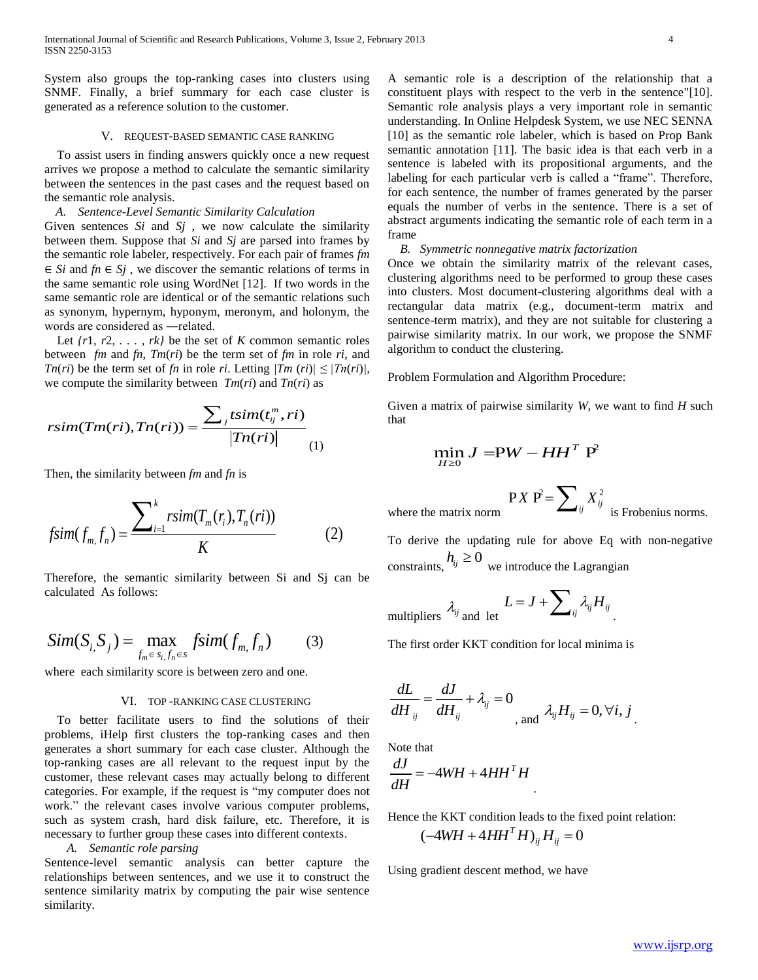System also groups the top-ranking cases into clusters using SNMF. Finally, a brief summary for each case cluster is generated as a reference solution to the customer.

## V. REQUEST-BASED SEMANTIC CASE RANKING

 To assist users in finding answers quickly once a new request arrives we propose a method to calculate the semantic similarity between the sentences in the past cases and the request based on the semantic role analysis.

## *A. Sentence-Level Semantic Similarity Calculation*

Given sentences *Si* and *Sj* , we now calculate the similarity between them. Suppose that *Si* and *Sj* are parsed into frames by the semantic role labeler, respectively. For each pair of frames *fm*  ∈ *Si* and *fn* ∈ *Sj* , we discover the semantic relations of terms in the same semantic role using WordNet [12]. If two words in the same semantic role are identical or of the semantic relations such as synonym, hypernym, hyponym, meronym, and holonym, the words are considered as ―related.

Let  $\{r1, r2, \ldots, rk\}$  be the set of *K* common semantic roles between *fm* and  $fn$ ,  $Tm$ ( $ri$ ) be the term set of  $fm$  in role  $ri$ , and *Tn(ri)* be the term set of *fn* in role *ri*. Letting  $|Tm (ri)| \leq |Tn (ri)|$ ,

we compute the similarity between 
$$
Im(ri)
$$
 and  $Im(ri)$  as  
\n
$$
rsim(Im(ri), In(ri)) = \frac{\sum_j tsim(t_{ij}^m, ri)}{|Tn(ri)|}
$$
\n(1)

Then, the similarity between *fm* and *fn* is

$$
f\text{sim}(f_{m,}f_{n}) = \frac{\sum_{i=1}^{k} r\text{sim}(T_{m}(r_{i}), T_{n}(ri))}{K}
$$
 (2)

Therefore, the semantic similarity between Si and Sj can be calculated As follows:

$$
Sim(Si, Sj) = \max_{f_m \in s_i, f_n \in s} fsim(f_m, f_n)
$$
 (3)

where each similarity score is between zero and one.

## VI. TOP -RANKING CASE CLUSTERING

 To better facilitate users to find the solutions of their problems, iHelp first clusters the top-ranking cases and then generates a short summary for each case cluster. Although the top-ranking cases are all relevant to the request input by the customer, these relevant cases may actually belong to different categories. For example, if the request is "my computer does not work." the relevant cases involve various computer problems, such as system crash, hard disk failure, etc. Therefore, it is necessary to further group these cases into different contexts.

## *A. Semantic role parsing*

Sentence-level semantic analysis can better capture the relationships between sentences, and we use it to construct the sentence similarity matrix by computing the pair wise sentence similarity.

A semantic role is a description of the relationship that a constituent plays with respect to the verb in the sentence"[10]. Semantic role analysis plays a very important role in semantic understanding. In Online Helpdesk System, we use NEC SENNA [10] as the semantic role labeler, which is based on Prop Bank semantic annotation [11]. The basic idea is that each verb in a sentence is labeled with its propositional arguments, and the labeling for each particular verb is called a "frame". Therefore, for each sentence, the number of frames generated by the parser equals the number of verbs in the sentence. There is a set of abstract arguments indicating the semantic role of each term in a frame

## *B. Symmetric nonnegative matrix factorization*

Once we obtain the similarity matrix of the relevant cases, clustering algorithms need to be performed to group these cases into clusters. Most document-clustering algorithms deal with a rectangular data matrix (e.g., document-term matrix and sentence-term matrix), and they are not suitable for clustering a pairwise similarity matrix. In our work, we propose the SNMF algorithm to conduct the clustering.

Problem Formulation and Algorithm Procedure:

Given a matrix of pairwise similarity *W*, we want to find *H* such that

$$
\min_{H \ge 0} J = PW - HH^T P^2
$$

where the matrix norm

$$
PX P^2 = \sum_{ij} X_{ij}^2
$$
 is Frobenius norms.

To derive the updating rule for above Eq with non-negative constraints,  $h_{ij} \ge 0$  we introduce the Lagrangian

 $v = \sqrt{2}$ 

multipliers 
$$
\lambda_{ij}
$$
 and let  $L = J + \sum_{ij} \lambda_{ij} H_{ij}$ .

The first order KKT condition for local minima is

$$
\frac{dL}{dH_{ij}} = \frac{dJ}{dH_{ij}} + \lambda_{ij} = 0
$$
\nand\n
$$
\lambda_{ij} H_{ij} = 0, \forall i, j
$$

Note that

$$
\frac{dJ}{dH} = -4WH + 4HH^T H
$$

Hence the KKT condition leads to the fixed point relation:  $(-4WH + 4HH<sup>T</sup>H)_{ij}H_{ij} = 0$ 

.

Using gradient descent method, we have